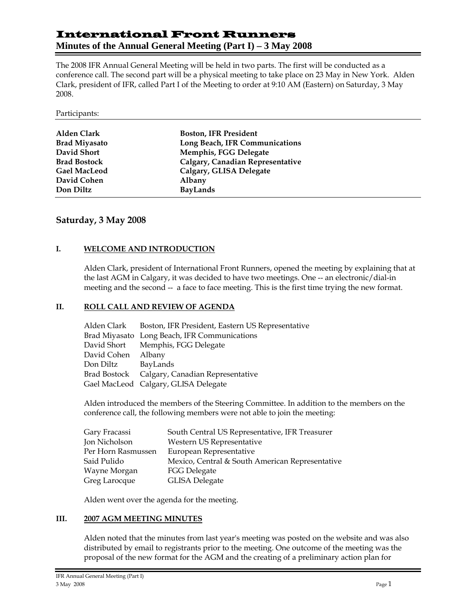# International Front Runners

# **Minutes of the Annual General Meeting (Part I) – 3 May 2008**

The 2008 IFR Annual General Meeting will be held in two parts. The first will be conducted as a conference call. The second part will be a physical meeting to take place on 23 May in New York. Alden Clark, president of IFR, called Part I of the Meeting to order at 9:10 AM (Eastern) on Saturday, 3 May 2008.

#### Participants:

| Alden Clark          | <b>Boston, IFR President</b>     |
|----------------------|----------------------------------|
| <b>Brad Miyasato</b> | Long Beach, IFR Communications   |
| David Short          | Memphis, FGG Delegate            |
| <b>Brad Bostock</b>  | Calgary, Canadian Representative |
| <b>Gael MacLeod</b>  | Calgary, GLISA Delegate          |
| David Cohen          | Albany                           |
| Don Diltz            | <b>BayLands</b>                  |

# **Saturday, 3 May 2008**

# **I. WELCOME AND INTRODUCTION**

Alden Clark, president of International Front Runners, opened the meeting by explaining that at the last AGM in Calgary, it was decided to have two meetings. One -- an electronic/dial-in meeting and the second -- a face to face meeting. This is the first time trying the new format.

# **II. ROLL CALL AND REVIEW OF AGENDA**

|             | Alden Clark Boston, IFR President, Eastern US Representative |
|-------------|--------------------------------------------------------------|
|             | Brad Miyasato Long Beach, IFR Communications                 |
|             | David Short Memphis, FGG Delegate                            |
| David Cohen | Albany                                                       |
| Don Diltz   | BayLands                                                     |
|             | Brad Bostock Calgary, Canadian Representative                |
|             | Gael MacLeod Calgary, GLISA Delegate                         |

Alden introduced the members of the Steering Committee. In addition to the members on the conference call, the following members were not able to join the meeting:

| Gary Fracassi      | South Central US Representative, IFR Treasurer  |
|--------------------|-------------------------------------------------|
| Jon Nicholson      | Western US Representative                       |
| Per Horn Rasmussen | European Representative                         |
| Said Pulido        | Mexico, Central & South American Representative |
| Wayne Morgan       | <b>FGG Delegate</b>                             |
| Greg Larocque      | <b>GLISA Delegate</b>                           |

Alden went over the agenda for the meeting.

#### **III. 2007 AGM MEETING MINUTES**

Alden noted that the minutes from last year's meeting was posted on the website and was also distributed by email to registrants prior to the meeting. One outcome of the meeting was the proposal of the new format for the AGM and the creating of a preliminary action plan for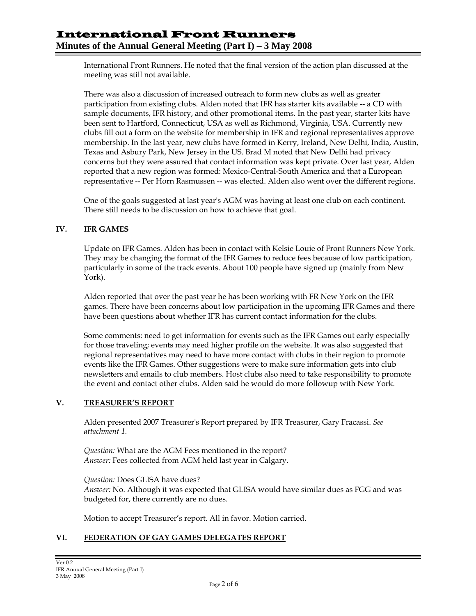International Front Runners. He noted that the final version of the action plan discussed at the meeting was still not available.

There was also a discussion of increased outreach to form new clubs as well as greater participation from existing clubs. Alden noted that IFR has starter kits available -- a CD with sample documents, IFR history, and other promotional items. In the past year, starter kits have been sent to Hartford, Connecticut, USA as well as Richmond, Virginia, USA. Currently new clubs fill out a form on the website for membership in IFR and regional representatives approve membership. In the last year, new clubs have formed in Kerry, Ireland, New Delhi, India, Austin, Texas and Asbury Park, New Jersey in the US. Brad M noted that New Delhi had privacy concerns but they were assured that contact information was kept private. Over last year, Alden reported that a new region was formed: Mexico-Central-South America and that a European representative -- Per Horn Rasmussen -- was elected. Alden also went over the different regions.

One of the goals suggested at last year's AGM was having at least one club on each continent. There still needs to be discussion on how to achieve that goal.

# **IV. IFR GAMES**

Update on IFR Games. Alden has been in contact with Kelsie Louie of Front Runners New York. They may be changing the format of the IFR Games to reduce fees because of low participation, particularly in some of the track events. About 100 people have signed up (mainly from New York).

Alden reported that over the past year he has been working with FR New York on the IFR games. There have been concerns about low participation in the upcoming IFR Games and there have been questions about whether IFR has current contact information for the clubs.

Some comments: need to get information for events such as the IFR Games out early especially for those traveling; events may need higher profile on the website. It was also suggested that regional representatives may need to have more contact with clubs in their region to promote events like the IFR Games. Other suggestions were to make sure information gets into club newsletters and emails to club members. Host clubs also need to take responsibility to promote the event and contact other clubs. Alden said he would do more followup with New York.

#### **V. TREASURER'S REPORT**

Alden presented 2007 Treasurer's Report prepared by IFR Treasurer, Gary Fracassi. *See attachment 1.* 

*Question:* What are the AGM Fees mentioned in the report? *Answer:* Fees collected from AGM held last year in Calgary.

*Question:* Does GLISA have dues? *Answer:* No. Although it was expected that GLISA would have similar dues as FGG and was budgeted for, there currently are no dues.

Motion to accept Treasurer's report. All in favor. Motion carried.

# **VI. FEDERATION OF GAY GAMES DELEGATES REPORT**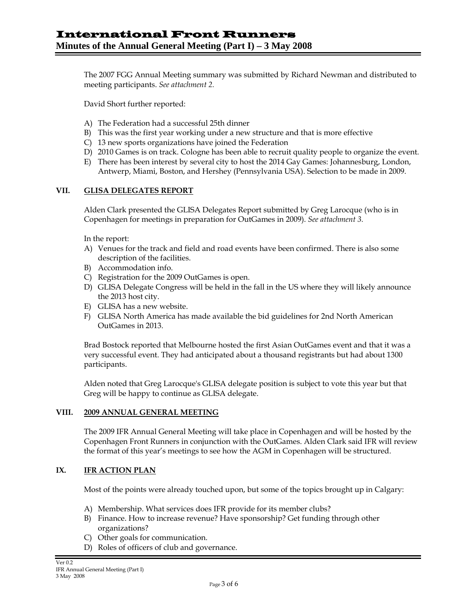The 2007 FGG Annual Meeting summary was submitted by Richard Newman and distributed to meeting participants. *See attachment 2.*

David Short further reported:

- A) The Federation had a successful 25th dinner
- B) This was the first year working under a new structure and that is more effective
- C) 13 new sports organizations have joined the Federation
- D) 2010 Games is on track. Cologne has been able to recruit quality people to organize the event.
- E) There has been interest by several city to host the 2014 Gay Games: Johannesburg, London, Antwerp, Miami, Boston, and Hershey (Pennsylvania USA). Selection to be made in 2009.

#### **VII. GLISA DELEGATES REPORT**

Alden Clark presented the GLISA Delegates Report submitted by Greg Larocque (who is in Copenhagen for meetings in preparation for OutGames in 2009). *See attachment 3.*

In the report:

- A) Venues for the track and field and road events have been confirmed. There is also some description of the facilities.
- B) Accommodation info.
- C) Registration for the 2009 OutGames is open.
- D) GLISA Delegate Congress will be held in the fall in the US where they will likely announce the 2013 host city.
- E) GLISA has a new website.
- F) GLISA North America has made available the bid guidelines for 2nd North American OutGames in 2013.

Brad Bostock reported that Melbourne hosted the first Asian OutGames event and that it was a very successful event. They had anticipated about a thousand registrants but had about 1300 participants.

Alden noted that Greg Larocque's GLISA delegate position is subject to vote this year but that Greg will be happy to continue as GLISA delegate.

#### **VIII. 2009 ANNUAL GENERAL MEETING**

The 2009 IFR Annual General Meeting will take place in Copenhagen and will be hosted by the Copenhagen Front Runners in conjunction with the OutGames. Alden Clark said IFR will review the format of this year's meetings to see how the AGM in Copenhagen will be structured.

# **IX. IFR ACTION PLAN**

Most of the points were already touched upon, but some of the topics brought up in Calgary:

- A) Membership. What services does IFR provide for its member clubs?
- B) Finance. How to increase revenue? Have sponsorship? Get funding through other organizations?
- C) Other goals for communication.
- D) Roles of officers of club and governance.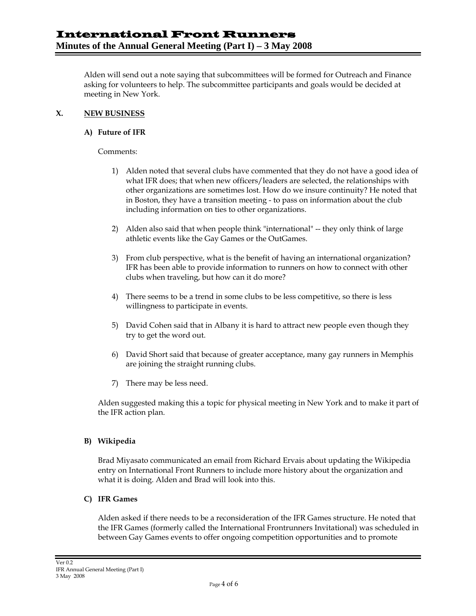Alden will send out a note saying that subcommittees will be formed for Outreach and Finance asking for volunteers to help. The subcommittee participants and goals would be decided at meeting in New York.

#### **X. NEW BUSINESS**

#### **A) Future of IFR**

Comments:

- 1) Alden noted that several clubs have commented that they do not have a good idea of what IFR does; that when new officers/leaders are selected, the relationships with other organizations are sometimes lost. How do we insure continuity? He noted that in Boston, they have a transition meeting - to pass on information about the club including information on ties to other organizations.
- 2) Alden also said that when people think "international" -- they only think of large athletic events like the Gay Games or the OutGames.
- 3) From club perspective, what is the benefit of having an international organization? IFR has been able to provide information to runners on how to connect with other clubs when traveling, but how can it do more?
- 4) There seems to be a trend in some clubs to be less competitive, so there is less willingness to participate in events.
- 5) David Cohen said that in Albany it is hard to attract new people even though they try to get the word out.
- 6) David Short said that because of greater acceptance, many gay runners in Memphis are joining the straight running clubs.
- 7) There may be less need.

Alden suggested making this a topic for physical meeting in New York and to make it part of the IFR action plan.

# **B) Wikipedia**

Brad Miyasato communicated an email from Richard Ervais about updating the Wikipedia entry on International Front Runners to include more history about the organization and what it is doing. Alden and Brad will look into this.

# **C) IFR Games**

Alden asked if there needs to be a reconsideration of the IFR Games structure. He noted that the IFR Games (formerly called the International Frontrunners Invitational) was scheduled in between Gay Games events to offer ongoing competition opportunities and to promote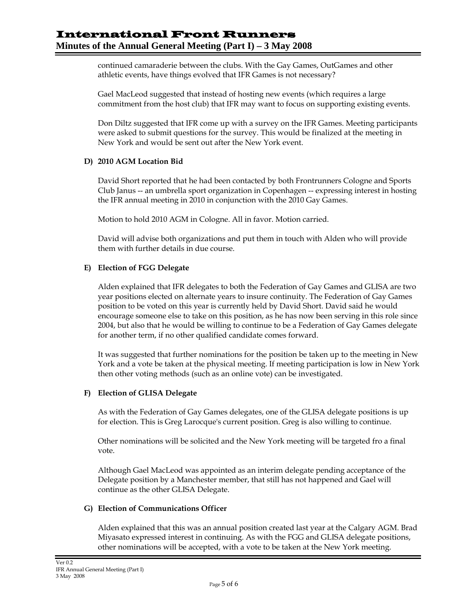continued camaraderie between the clubs. With the Gay Games, OutGames and other athletic events, have things evolved that IFR Games is not necessary?

Gael MacLeod suggested that instead of hosting new events (which requires a large commitment from the host club) that IFR may want to focus on supporting existing events.

Don Diltz suggested that IFR come up with a survey on the IFR Games. Meeting participants were asked to submit questions for the survey. This would be finalized at the meeting in New York and would be sent out after the New York event.

#### **D) 2010 AGM Location Bid**

David Short reported that he had been contacted by both Frontrunners Cologne and Sports Club Janus -- an umbrella sport organization in Copenhagen -- expressing interest in hosting the IFR annual meeting in 2010 in conjunction with the 2010 Gay Games.

Motion to hold 2010 AGM in Cologne. All in favor. Motion carried.

David will advise both organizations and put them in touch with Alden who will provide them with further details in due course.

#### **E) Election of FGG Delegate**

Alden explained that IFR delegates to both the Federation of Gay Games and GLISA are two year positions elected on alternate years to insure continuity. The Federation of Gay Games position to be voted on this year is currently held by David Short. David said he would encourage someone else to take on this position, as he has now been serving in this role since 2004, but also that he would be willing to continue to be a Federation of Gay Games delegate for another term, if no other qualified candidate comes forward.

It was suggested that further nominations for the position be taken up to the meeting in New York and a vote be taken at the physical meeting. If meeting participation is low in New York then other voting methods (such as an online vote) can be investigated.

#### **F) Election of GLISA Delegate**

As with the Federation of Gay Games delegates, one of the GLISA delegate positions is up for election. This is Greg Larocque's current position. Greg is also willing to continue.

Other nominations will be solicited and the New York meeting will be targeted fro a final vote.

Although Gael MacLeod was appointed as an interim delegate pending acceptance of the Delegate position by a Manchester member, that still has not happened and Gael will continue as the other GLISA Delegate.

#### **G) Election of Communications Officer**

Alden explained that this was an annual position created last year at the Calgary AGM. Brad Miyasato expressed interest in continuing. As with the FGG and GLISA delegate positions, other nominations will be accepted, with a vote to be taken at the New York meeting.